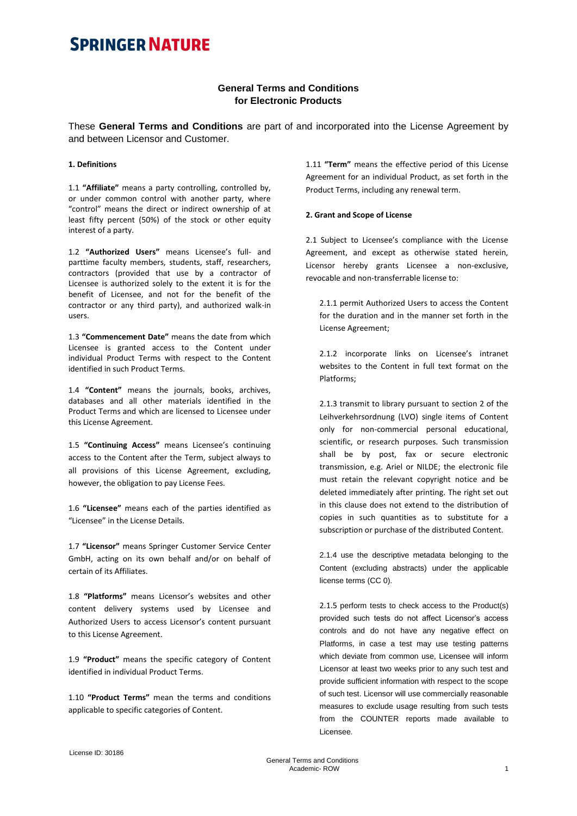### **General Terms and Conditions for Electronic Products**

These **General Terms and Conditions** are part of and incorporated into the License Agreement by and between Licensor and Customer.

### **1. Definitions**

1.1 **"Affiliate"** means a party controlling, controlled by, or under common control with another party, where "control" means the direct or indirect ownership of at least fifty percent (50%) of the stock or other equity interest of a party.

1.2 **"Authorized Users"** means Licensee's full- and parttime faculty members, students, staff, researchers, contractors (provided that use by a contractor of Licensee is authorized solely to the extent it is for the benefit of Licensee, and not for the benefit of the contractor or any third party), and authorized walk-in users.

1.3 **"Commencement Date"** means the date from which Licensee is granted access to the Content under individual Product Terms with respect to the Content identified in such Product Terms.

1.4 **"Content"** means the journals, books, archives, databases and all other materials identified in the Product Terms and which are licensed to Licensee under this License Agreement.

1.5 **"Continuing Access"** means Licensee's continuing access to the Content after the Term, subject always to all provisions of this License Agreement, excluding, however, the obligation to pay License Fees.

1.6 **"Licensee"** means each of the parties identified as "Licensee" in the License Details.

1.7 **"Licensor"** means Springer Customer Service Center GmbH, acting on its own behalf and/or on behalf of certain of its Affiliates.

1.8 **"Platforms"** means Licensor's websites and other content delivery systems used by Licensee and Authorized Users to access Licensor's content pursuant to this License Agreement.

1.9 **"Product"** means the specific category of Content identified in individual Product Terms.

1.10 **"Product Terms"** mean the terms and conditions applicable to specific categories of Content.

1.11 **"Term"** means the effective period of this License Agreement for an individual Product, as set forth in the Product Terms, including any renewal term.

#### **2. Grant and Scope of License**

2.1 Subject to Licensee's compliance with the License Agreement, and except as otherwise stated herein, Licensor hereby grants Licensee a non-exclusive, revocable and non-transferrable license to:

2.1.1 permit Authorized Users to access the Content for the duration and in the manner set forth in the License Agreement;

2.1.2 incorporate links on Licensee's intranet websites to the Content in full text format on the Platforms;

2.1.3 transmit to library pursuant to section 2 of the Leihverkehrsordnung (LVO) single items of Content only for non-commercial personal educational, scientific, or research purposes. Such transmission shall be by post, fax or secure electronic transmission, e.g. Ariel or NILDE; the electronic file must retain the relevant copyright notice and be deleted immediately after printing. The right set out in this clause does not extend to the distribution of copies in such quantities as to substitute for a subscription or purchase of the distributed Content.

2.1.4 use the descriptive metadata belonging to the Content (excluding abstracts) under the applicable license terms (CC 0).

2.1.5 perform tests to check access to the Product(s) provided such tests do not affect Licensor's access controls and do not have any negative effect on Platforms, in case a test may use testing patterns which deviate from common use, Licensee will inform Licensor at least two weeks prior to any such test and provide sufficient information with respect to the scope of such test. Licensor will use commercially reasonable measures to exclude usage resulting from such tests from the COUNTER reports made available to Licensee.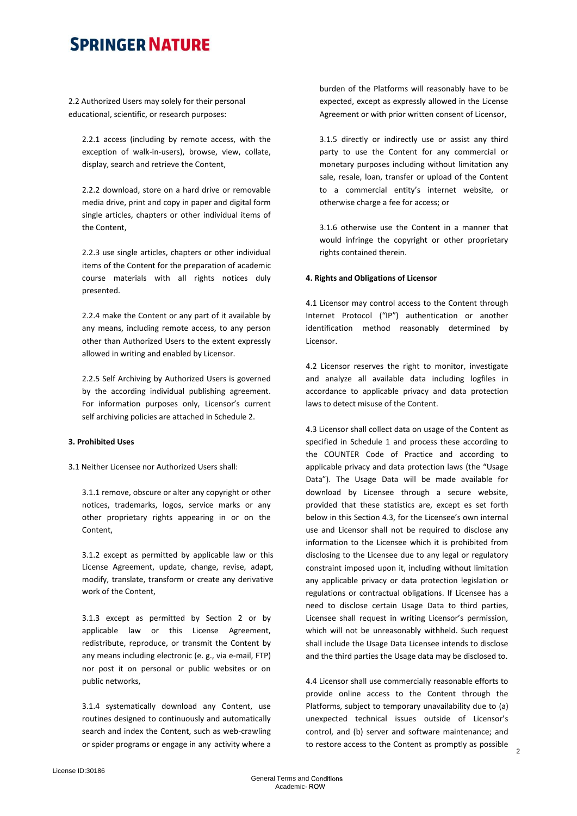2.2 Authorized Users may solely for their personal educational, scientific, or research purposes:

2.2.1 access (including by remote access, with the exception of walk-in-users), browse, view, collate, display, search and retrieve the Content,

2.2.2 download, store on a hard drive or removable media drive, print and copy in paper and digital form single articles, chapters or other individual items of the Content,

2.2.3 use single articles, chapters or other individual items of the Content for the preparation of academic course materials with all rights notices duly presented.

2.2.4 make the Content or any part of it available by any means, including remote access, to any person other than Authorized Users to the extent expressly allowed in writing and enabled by Licensor.

2.2.5 Self Archiving by Authorized Users is governed by the according individual publishing agreement. For information purposes only, Licensor's current self archiving policies are attached in Schedule 2.

### **3. Prohibited Uses**

3.1 Neither Licensee nor Authorized Users shall:

3.1.1 remove, obscure or alter any copyright or other notices, trademarks, logos, service marks or any other proprietary rights appearing in or on the Content,

3.1.2 except as permitted by applicable law or this License Agreement, update, change, revise, adapt, modify, translate, transform or create any derivative work of the Content,

3.1.3 except as permitted by Section 2 or by applicable law or this License Agreement, redistribute, reproduce, or transmit the Content by any means including electronic (e. g., via e-mail, FTP) nor post it on personal or public websites or on public networks,

3.1.4 systematically download any Content, use routines designed to continuously and automatically search and index the Content, such as web-crawling or spider programs or engage in any activity where a burden of the Platforms will reasonably have to be expected, except as expressly allowed in the License Agreement or with prior written consent of Licensor,

3.1.5 directly or indirectly use or assist any third party to use the Content for any commercial or monetary purposes including without limitation any sale, resale, loan, transfer or upload of the Content to a commercial entity's internet website, or otherwise charge a fee for access; or

3.1.6 otherwise use the Content in a manner that would infringe the copyright or other proprietary rights contained therein.

#### **4. Rights and Obligations of Licensor**

4.1 Licensor may control access to the Content through Internet Protocol ("IP") authentication or another identification method reasonably determined by Licensor.

4.2 Licensor reserves the right to monitor, investigate and analyze all available data including logfiles in accordance to applicable privacy and data protection laws to detect misuse of the Content.

4.3 Licensor shall collect data on usage of the Content as specified in Schedule 1 and process these according to the COUNTER Code of Practice and according to applicable privacy and data protection laws (the "Usage Data"). The Usage Data will be made available for download by Licensee through a secure website, provided that these statistics are, except es set forth below in this Section 4.3, for the Licensee's own internal use and Licensor shall not be required to disclose any information to the Licensee which it is prohibited from disclosing to the Licensee due to any legal or regulatory constraint imposed upon it, including without limitation any applicable privacy or data protection legislation or regulations or contractual obligations. If Licensee has a need to disclose certain Usage Data to third parties, Licensee shall request in writing Licensor's permission, which will not be unreasonably withheld. Such request shall include the Usage Data Licensee intends to disclose and the third parties the Usage data may be disclosed to.

4.4 Licensor shall use commercially reasonable efforts to provide online access to the Content through the Platforms, subject to temporary unavailability due to (a) unexpected technical issues outside of Licensor's control, and (b) server and software maintenance; and to restore access to the Content as promptly as possible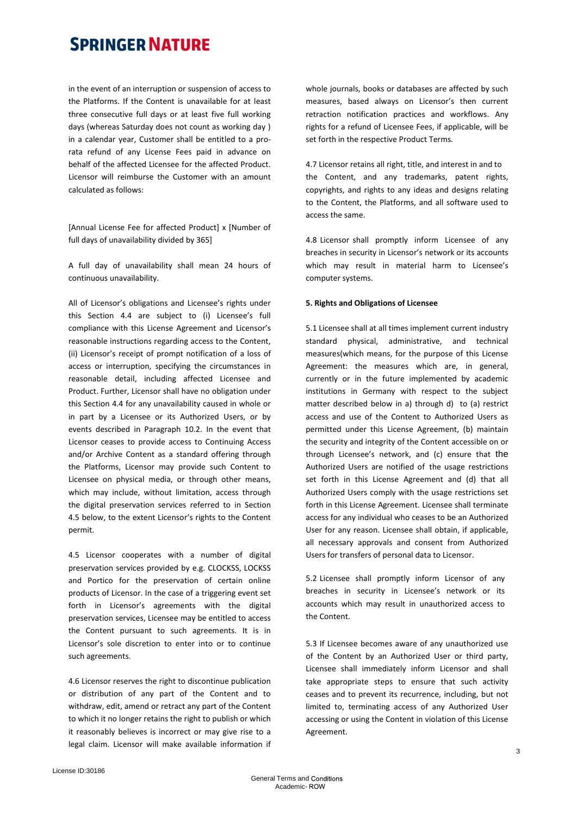in the event of an interruption or suspension of access to the Platforms. If the Content is unavailable for at least three consecutive full days or at least five full working days (whereas Saturday does not count as working day ) in a calendar year, Customer shall be entitled to a prorata refund of any License Fees paid in advance on behalf of the affected Licensee for the affected Product. Licensor will reimburse the Customer with an amount calculated as follows:

[Annual License Fee for affected Product] x [Number of full days of unavailability divided by 365]

A full day of unavailability shall mean 24 hours of continuous unavailability.

All of Licensor's obligations and Licensee's rights under this Section 4.4 are subject to (i) Licensee's full compliance with this License Agreement and Licensor's reasonable instructions regarding access to the Content, (ii) Licensor's receipt of prompt notification of a loss of access or interruption, specifying the circumstances in reasonable detail, including affected Licensee and Product. Further, Licensor shall have no obligation under this Section 4.4 for any unavailability caused in whole or in part by a Licensee or its Authorized Users, or by events described in Paragraph 10.2. In the event that Licensor ceases to provide access to Continuing Access and/or Archive Content as a standard offering through the Platforms, Licensor may provide such Content to Licensee on physical media, or through other means, which may include, without limitation, access through the digital preservation services referred to in Section 4.5 below, to the extent Licensor's rights to the Content permit.

4.5 Licensor cooperates with a number of digital preservation services provided by e.g. CLOCKSS, LOCKSS and Portico for the preservation of certain online products of Licensor. In the case of a triggering event set forth in Licensor's agreements with the digital preservation services, Licensee may be entitled to access the Content pursuant to such agreements. It is in Licensor's sole discretion to enter into or to continue such agreements.

4.6 Licensor reserves the right to discontinue publication or distribution of any part of the Content and to withdraw, edit, amend or retract any part of the Content to which it no longer retains the right to publish or which it reasonably believes is incorrect or may give rise to a legal claim. Licensor will make available information if whole journals, books or databases are affected by such measures, based always on Licensor's then current retraction notification practices and workflows. Any rights for a refund of Licensee Fees, if applicable, will be set forth in the respective Product Terms.

4.7 Licensor retains all right, title, and interest in and to the Content, and any trademarks, patent rights, copyrights, and rights to any ideas and designs relating to the Content, the Platforms, and all software used to access the same.

4.8 Licensor shall promptly inform Licensee of any breaches in security in Licensor's network or its accounts which may result in material harm to Licensee's computer systems.

#### **5. Rights and Obligations of Licensee**

5.1 Licensee shall at all times implement current industry standard physical, administrative, and technical measures(which means, for the purpose of this License Agreement: the measures which are, in general, currently or in the future implemented by academic institutions in Germany with respect to the subject matter described below in a) through d) to (a) restrict access and use of the Content to Authorized Users as permitted under this License Agreement, (b) maintain the security and integrity of the Content accessible on or through Licensee's network, and (c) ensure that the Authorized Users are notified of the usage restrictions set forth in this License Agreement and (d) that all Authorized Users comply with the usage restrictions set forth in this License Agreement. Licensee shall terminate access for any individual who ceases to be an Authorized User for any reason. Licensee shall obtain, if applicable, all necessary approvals and consent from Authorized Users for transfers of personal data to Licensor.

5.2 Licensee shall promptly inform Licensor of any breaches in security in Licensee's network or its accounts which may result in unauthorized access to the Content.

5.3 If Licensee becomes aware of any unauthorized use of the Content by an Authorized User or third party, Licensee shall immediately inform Licensor and shall take appropriate steps to ensure that such activity ceases and to prevent its recurrence, including, but not limited to, terminating access of any Authorized User accessing or using the Content in violation of this License Agreement.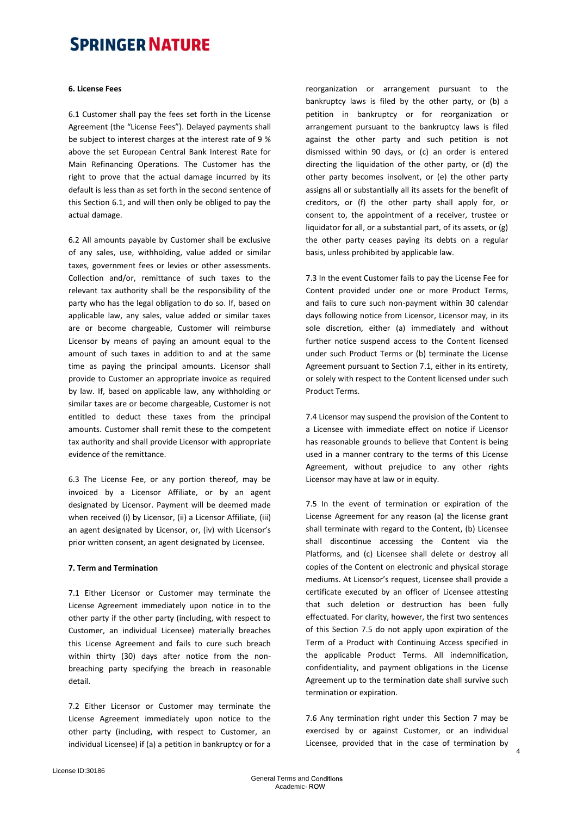#### **6. License Fees**

6.1 Customer shall pay the fees set forth in the License Agreement (the "License Fees"). Delayed payments shall be subject to interest charges at the interest rate of 9 % above the set European Central Bank Interest Rate for Main Refinancing Operations. The Customer has the right to prove that the actual damage incurred by its default is less than as set forth in the second sentence of this Section 6.1, and will then only be obliged to pay the actual damage.

6.2 All amounts payable by Customer shall be exclusive of any sales, use, withholding, value added or similar taxes, government fees or levies or other assessments. Collection and/or, remittance of such taxes to the relevant tax authority shall be the responsibility of the party who has the legal obligation to do so. If, based on applicable law, any sales, value added or similar taxes are or become chargeable, Customer will reimburse Licensor by means of paying an amount equal to the amount of such taxes in addition to and at the same time as paying the principal amounts. Licensor shall provide to Customer an appropriate invoice as required by law. If, based on applicable law, any withholding or similar taxes are or become chargeable, Customer is not entitled to deduct these taxes from the principal amounts. Customer shall remit these to the competent tax authority and shall provide Licensor with appropriate evidence of the remittance.

6.3 The License Fee, or any portion thereof, may be invoiced by a Licensor Affiliate, or by an agent designated by Licensor. Payment will be deemed made when received (i) by Licensor, (ii) a Licensor Affiliate, (iii) an agent designated by Licensor, or, (iv) with Licensor's prior written consent, an agent designated by Licensee.

#### **7. Term and Termination**

7.1 Either Licensor or Customer may terminate the License Agreement immediately upon notice in to the other party if the other party (including, with respect to Customer, an individual Licensee) materially breaches this License Agreement and fails to cure such breach within thirty (30) days after notice from the nonbreaching party specifying the breach in reasonable detail.

7.2 Either Licensor or Customer may terminate the License Agreement immediately upon notice to the other party (including, with respect to Customer, an individual Licensee) if (a) a petition in bankruptcy or for a reorganization or arrangement pursuant to the bankruptcy laws is filed by the other party, or (b) a petition in bankruptcy or for reorganization or arrangement pursuant to the bankruptcy laws is filed against the other party and such petition is not dismissed within 90 days, or (c) an order is entered directing the liquidation of the other party, or (d) the other party becomes insolvent, or (e) the other party assigns all or substantially all its assets for the benefit of creditors, or (f) the other party shall apply for, or consent to, the appointment of a receiver, trustee or liquidator for all, or a substantial part, of its assets, or (g) the other party ceases paying its debts on a regular basis, unless prohibited by applicable law.

7.3 In the event Customer fails to pay the License Fee for Content provided under one or more Product Terms, and fails to cure such non-payment within 30 calendar days following notice from Licensor, Licensor may, in its sole discretion, either (a) immediately and without further notice suspend access to the Content licensed under such Product Terms or (b) terminate the License Agreement pursuant to Section 7.1, either in its entirety, or solely with respect to the Content licensed under such Product Terms.

7.4 Licensor may suspend the provision of the Content to a Licensee with immediate effect on notice if Licensor has reasonable grounds to believe that Content is being used in a manner contrary to the terms of this License Agreement, without prejudice to any other rights Licensor may have at law or in equity.

7.5 In the event of termination or expiration of the License Agreement for any reason (a) the license grant shall terminate with regard to the Content, (b) Licensee shall discontinue accessing the Content via the Platforms, and (c) Licensee shall delete or destroy all copies of the Content on electronic and physical storage mediums. At Licensor's request, Licensee shall provide a certificate executed by an officer of Licensee attesting that such deletion or destruction has been fully effectuated. For clarity, however, the first two sentences of this Section 7.5 do not apply upon expiration of the Term of a Product with Continuing Access specified in the applicable Product Terms. All indemnification, confidentiality, and payment obligations in the License Agreement up to the termination date shall survive such termination or expiration.

7.6 Any termination right under this Section 7 may be exercised by or against Customer, or an individual Licensee, provided that in the case of termination by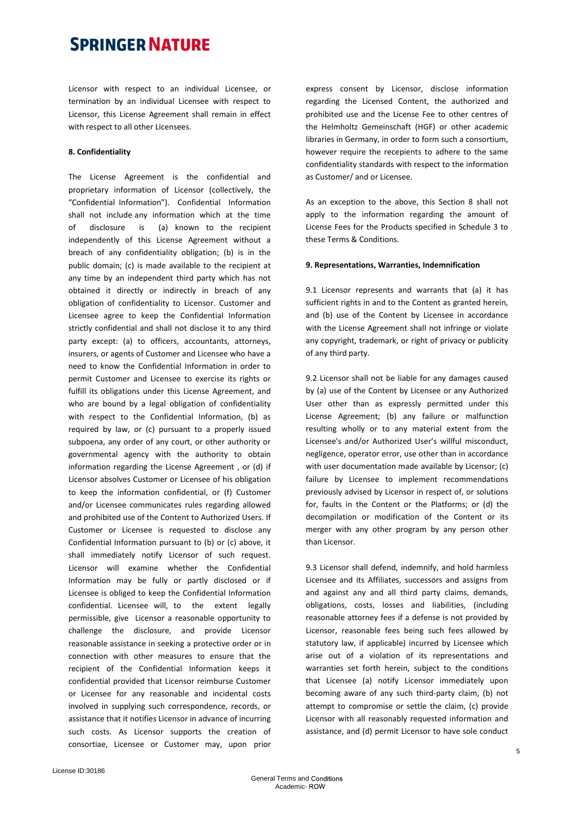Licensor with respect to an individual Licensee, or termination by an individual Licensee with respect to Licensor, this License Agreement shall remain in effect with respect to all other Licensees.

#### **8. Confidentiality**

The License Agreement is the confidential and proprietary information of Licensor (collectively, the "Confidential Information"). Confidential Information shall not include any information which at the time of disclosure is (a) known to the recipient independently of this License Agreement without a breach of any confidentiality obligation; (b) is in the public domain; (c) is made available to the recipient at any time by an independent third party which has not obtained it directly or indirectly in breach of any obligation of confidentiality to Licensor. Customer and Licensee agree to keep the Confidential Information strictly confidential and shall not disclose it to any third party except: (a) to officers, accountants, attorneys, insurers, or agents of Customer and Licensee who have a need to know the Confidential Information in order to permit Customer and Licensee to exercise its rights or fulfill its obligations under this License Agreement, and who are bound by a legal obligation of confidentiality with respect to the Confidential Information, (b) as required by law, or (c) pursuant to a properly issued subpoena, any order of any court, or other authority or governmental agency with the authority to obtain information regarding the License Agreement , or (d) if Licensor absolves Customer or Licensee of his obligation to keep the information confidential, or (f) Customer and/or Licensee communicates rules regarding allowed and prohibited use of the Content to Authorized Users. If Customer or Licensee is requested to disclose any Confidential Information pursuant to (b) or (c) above, it shall immediately notify Licensor of such request. Licensor will examine whether the Confidential Information may be fully or partly disclosed or if Licensee is obliged to keep the Confidential Information confidential. Licensee will, to the extent legally permissible, give Licensor a reasonable opportunity to challenge the disclosure, and provide Licensor reasonable assistance in seeking a protective order or in connection with other measures to ensure that the recipient of the Confidential Information keeps it confidential provided that Licensor reimburse Customer or Licensee for any reasonable and incidental costs involved in supplying such correspondence, records, or assistance that it notifies Licensor in advance of incurring such costs. As Licensor supports the creation of consortiae, Licensee or Customer may, upon prior express consent by Licensor, disclose information regarding the Licensed Content, the authorized and prohibited use and the License Fee to other centres of the Helmholtz Gemeinschaft (HGF) or other academic libraries in Germany, in order to form such a consortium, however require the recepients to adhere to the same confidentiality standards with respect to the information as Customer/ and or Licensee.

As an exception to the above, this Section 8 shall not apply to the information regarding the amount of License Fees for the Products specified in Schedule 3 to these Terms & Conditions.

#### **9. Representations, Warranties, Indemnification**

9.1 Licensor represents and warrants that (a) it has sufficient rights in and to the Content as granted herein, and (b) use of the Content by Licensee in accordance with the License Agreement shall not infringe or violate any copyright, trademark, or right of privacy or publicity of any third party.

9.2 Licensor shall not be liable for any damages caused by (a) use of the Content by Licensee or any Authorized User other than as expressly permitted under this License Agreement; (b) any failure or malfunction resulting wholly or to any material extent from the Licensee's and/or Authorized User's willful misconduct, negligence, operator error, use other than in accordance with user documentation made available by Licensor; (c) failure by Licensee to implement recommendations previously advised by Licensor in respect of, or solutions for, faults in the Content or the Platforms; or (d) the decompilation or modification of the Content or its merger with any other program by any person other than Licensor.

9.3 Licensor shall defend, indemnify, and hold harmless Licensee and its Affiliates, successors and assigns from and against any and all third party claims, demands, obligations, costs, losses and liabilities, (including reasonable attorney fees if a defense is not provided by Licensor, reasonable fees being such fees allowed by statutory law, if applicable) incurred by Licensee which arise out of a violation of its representations and warranties set forth herein, subject to the conditions that Licensee (a) notify Licensor immediately upon becoming aware of any such third-party claim, (b) not attempt to compromise or settle the claim, (c) provide Licensor with all reasonably requested information and assistance, and (d) permit Licensor to have sole conduct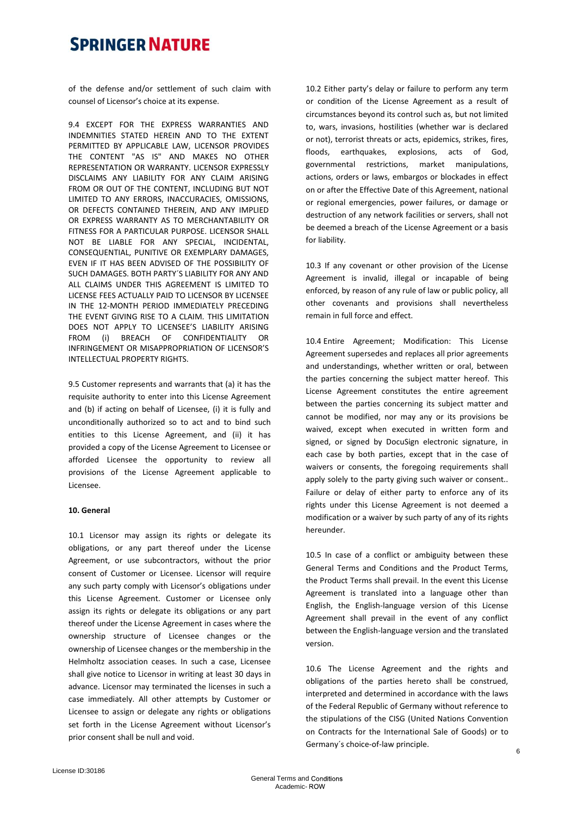of the defense and/or settlement of such claim with counsel of Licensor's choice at its expense.

9.4 EXCEPT FOR THE EXPRESS WARRANTIES AND INDEMNITIES STATED HEREIN AND TO THE EXTENT PERMITTED BY APPLICABLE LAW, LICENSOR PROVIDES THE CONTENT "AS IS" AND MAKES NO OTHER REPRESENTATION OR WARRANTY. LICENSOR EXPRESSLY DISCLAIMS ANY LIABILITY FOR ANY CLAIM ARISING FROM OR OUT OF THE CONTENT, INCLUDING BUT NOT LIMITED TO ANY ERRORS, INACCURACIES, OMISSIONS, OR DEFECTS CONTAINED THEREIN, AND ANY IMPLIED OR EXPRESS WARRANTY AS TO MERCHANTABILITY OR FITNESS FOR A PARTICULAR PURPOSE. LICENSOR SHALL NOT BE LIABLE FOR ANY SPECIAL, INCIDENTAL, CONSEQUENTIAL, PUNITIVE OR EXEMPLARY DAMAGES, EVEN IF IT HAS BEEN ADVISED OF THE POSSIBILITY OF SUCH DAMAGES. BOTH PARTY´S LIABILITY FOR ANY AND ALL CLAIMS UNDER THIS AGREEMENT IS LIMITED TO LICENSE FEES ACTUALLY PAID TO LICENSOR BY LICENSEE IN THE 12-MONTH PERIOD IMMEDIATELY PRECEDING THE EVENT GIVING RISE TO A CLAIM. THIS LIMITATION DOES NOT APPLY TO LICENSEE'S LIABILITY ARISING FROM (i) BREACH OF CONFIDENTIALITY OR INFRINGEMENT OR MISAPPROPRIATION OF LICENSOR'S INTELLECTUAL PROPERTY RIGHTS.

9.5 Customer represents and warrants that (a) it has the requisite authority to enter into this License Agreement and (b) if acting on behalf of Licensee, (i) it is fully and unconditionally authorized so to act and to bind such entities to this License Agreement, and (ii) it has provided a copy of the License Agreement to Licensee or afforded Licensee the opportunity to review all provisions of the License Agreement applicable to Licensee.

#### **10. General**

10.1 Licensor may assign its rights or delegate its obligations, or any part thereof under the License Agreement, or use subcontractors, without the prior consent of Customer or Licensee. Licensor will require any such party comply with Licensor's obligations under this License Agreement. Customer or Licensee only assign its rights or delegate its obligations or any part thereof under the License Agreement in cases where the ownership structure of Licensee changes or the ownership of Licensee changes or the membership in the Helmholtz association ceases. In such a case, Licensee shall give notice to Licensor in writing at least 30 days in advance. Licensor may terminated the licenses in such a case immediately. All other attempts by Customer or Licensee to assign or delegate any rights or obligations set forth in the License Agreement without Licensor's prior consent shall be null and void.

10.2 Either party's delay or failure to perform any term or condition of the License Agreement as a result of circumstances beyond its control such as, but not limited to, wars, invasions, hostilities (whether war is declared or not), terrorist threats or acts, epidemics, strikes, fires, floods, earthquakes, explosions, acts of God, governmental restrictions, market manipulations, actions, orders or laws, embargos or blockades in effect on or after the Effective Date of this Agreement, national or regional emergencies, power failures, or damage or destruction of any network facilities or servers, shall not be deemed a breach of the License Agreement or a basis for liability.

10.3 If any covenant or other provision of the License Agreement is invalid, illegal or incapable of being enforced, by reason of any rule of law or public policy, all other covenants and provisions shall nevertheless remain in full force and effect.

10.4 Entire Agreement; Modification: This License Agreement supersedes and replaces all prior agreements and understandings, whether written or oral, between the parties concerning the subject matter hereof. This License Agreement constitutes the entire agreement between the parties concerning its subject matter and cannot be modified, nor may any or its provisions be waived, except when executed in written form and signed, or signed by DocuSign electronic signature, in each case by both parties, except that in the case of waivers or consents, the foregoing requirements shall apply solely to the party giving such waiver or consent.. Failure or delay of either party to enforce any of its rights under this License Agreement is not deemed a modification or a waiver by such party of any of its rights hereunder.

10.5 In case of a conflict or ambiguity between these General Terms and Conditions and the Product Terms, the Product Terms shall prevail. In the event this License Agreement is translated into a language other than English, the English-language version of this License Agreement shall prevail in the event of any conflict between the English-language version and the translated version.

10.6 The License Agreement and the rights and obligations of the parties hereto shall be construed, interpreted and determined in accordance with the laws of the Federal Republic of Germany without reference to the stipulations of the CISG (United Nations Convention on Contracts for the International Sale of Goods) or to Germany´s choice-of-law principle.